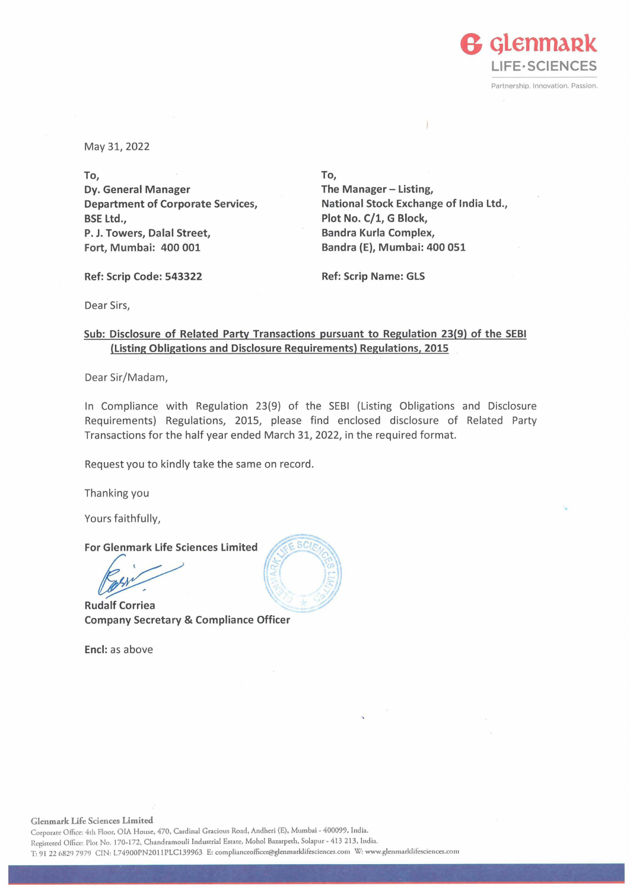

May 31, 2022

**To, Dy. General Manager Department of Corporate Services, BSE Ltd., P. J. Towers, Dalal Street, Fort, Mumbai: 400 001** 

**To, The Manager- Listing, National Stock Exchange of India Ltd., Plot No. C/1, G Block, Sandra Kurla Complex, Sandra (E), Mumbai: 400 051** 

**Ref: Scrip Code: 543322** 

**Ref: Scrip Name: GLS** 

Dear Sirs,

**Sub: Disclosure of Related Party Transactions pursuant to Regulation 23(9) of the SEBI (Listing Obligations and Disclosure Requirements) Regulations, 2015** 

Dear Sir/Madam,

In Compliance with Regulation 23(9) of the SEBI (Listing Obligations and Disclosure Requirements) Regulations, 2015, please find enclosed disclosure of Related Party Transactions for the half year ended March 31, 2022, in the required format.

Request you to kindly take the same on record.

Thanking you

Yours faithfully,

**For Glenmark Life Sciences Limited** 

Externant Life Sciences Limited<br> **External Corriea**<br>
dalf Corriea

**Rudalf Corriea Company Secretary & Compliance Officer** 

**Encl:** as above



**Glenmark Life Sciences Limited** 

Corporate Office: 4th Floor, OIA House, 470, Cardinal Gracious Road, Andheri (E), Mumbai - 400099, India. Registered Office: Plot No. 170-172, Chandramouli Industrial Estate, Mohol Bazarpeth, Solapur - 413 213, India. T: 91 22 6829 7979 CIN: L74900PN2011PLC139963 E: complianceofficer@glenmarklifesciences.com W: www.glenmarklifesciences.com